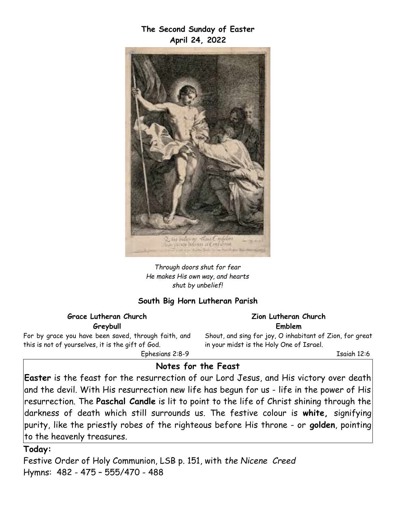**The Second Sunday of Easter April 24, 2022**



*Through doors shut for fear He makes His own way, and hearts shut by unbelief!*

#### **South Big Horn Lutheran Parish**

#### **Grace Lutheran Church Greybull**

For by grace you have been saved, through faith, and this is not of yourselves, it is the gift of God. Ephesians 2:8-9

**Zion Lutheran Church Emblem**

Shout, and sing for joy, O inhabitant of Zion, for great in your midst is the Holy One of Israel.

Isaiah 12:6

#### **Notes for the Feast**

**Easter** is the feast for the resurrection of our Lord Jesus, and His victory over death and the devil. With His resurrection new life has begun for us - life in the power of His resurrection. The **Paschal Candle** is lit to point to the life of Christ shining through the darkness of death which still surrounds us. The festive colour is **white,** signifying purity, like the priestly robes of the righteous before His throne - or **golden**, pointing to the heavenly treasures.

#### **Today:**

Festive Order of Holy Communion, LSB p. 151, with *the Nicene Creed* Hymns: 482 - 475 – 555/470 - 488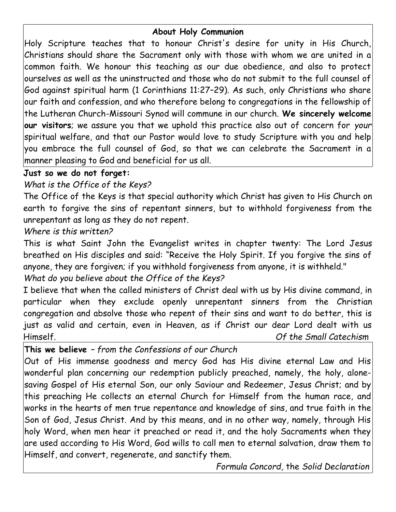## **About Holy Communion**

Holy Scripture teaches that to honour Christ's desire for unity in His Church, Christians should share the Sacrament only with those with whom we are united in a common faith. We honour this teaching as our due obedience, and also to protect ourselves as well as the uninstructed and those who do not submit to the full counsel of God against spiritual harm (1 Corinthians 11:27–29). As such, only Christians who share our faith and confession, and who therefore belong to congregations in the fellowship of the Lutheran Church-Missouri Synod will commune in our church. **We sincerely welcome our visitors**; we assure you that we uphold this practice also out of concern for *your* spiritual welfare, and that our Pastor would love to study Scripture with you and help you embrace the full counsel of God, so that we can celebrate the Sacrament in a manner pleasing to God and beneficial for us all.

## **Just so we do not forget:**

# *What is the Office of the Keys?*

The Office of the Keys is that special authority which Christ has given to His Church on earth to forgive the sins of repentant sinners, but to withhold forgiveness from the unrepentant as long as they do not repent.

## *Where is this written?*

This is what Saint John the Evangelist writes in chapter twenty: The Lord Jesus breathed on His disciples and said: "Receive the Holy Spirit. If you forgive the sins of anyone, they are forgiven; if you withhold forgiveness from anyone, it is withheld."

# *What do you believe about the Office of the Keys?*

I believe that when the called ministers of Christ deal with us by His divine command, in particular when they exclude openly unrepentant sinners from the Christian congregation and absolve those who repent of their sins and want to do better, this is just as valid and certain, even in Heaven, as if Christ our dear Lord dealt with us Himself. *Of the Small Catechism*

**This we believe** *– from the Confessions of our Church*

Out of His immense goodness and mercy God has His divine eternal Law and His wonderful plan concerning our redemption publicly preached, namely, the holy, alonesaving Gospel of His eternal Son, our only Saviour and Redeemer, Jesus Christ; and by this preaching He collects an eternal Church for Himself from the human race, and works in the hearts of men true repentance and knowledge of sins, and true faith in the Son of God, Jesus Christ. And by this means, and in no other way, namely, through His holy Word, when men hear it preached or read it, and the holy Sacraments when they are used according to His Word, God wills to call men to eternal salvation, draw them to Himself, and convert, regenerate, and sanctify them.

*Formula Concord,* the *Solid Declaration*